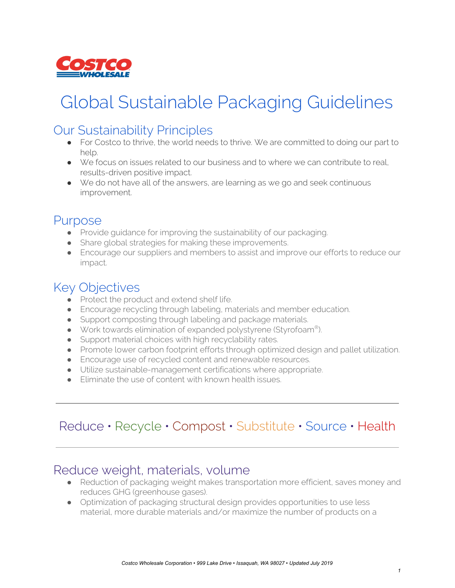

# Global Sustainable Packaging Guidelines

#### Our Sustainability Principles

- For Costco to thrive, the world needs to thrive. We are committed to doing our part to help.
- We focus on issues related to our business and to where we can contribute to real, results-driven positive impact.
- We do not have all of the answers, are learning as we go and seek continuous improvement.

#### Purpose

- Provide quidance for improving the sustainability of our packaging.
- Share global strategies for making these improvements.
- Encourage our suppliers and members to assist and improve our efforts to reduce our impact.

## Key Objectives

- Protect the product and extend shelf life.
- Encourage recycling through labeling, materials and member education.
- Support composting through labeling and package materials.
- Work towards elimination of expanded polystyrene (Styrofoam®).
- Support material choices with high recyclability rates.
- Promote lower carbon footprint efforts through optimized design and pallet utilization.
- Encourage use of recycled content and renewable resources.
- Utilize sustainable-management certifications where appropriate.
- Eliminate the use of content with known health issues.

## Reduce • Recycle • Compost • Substitute • Source • Health

#### Reduce weight, materials, volume

- Reduction of packaging weight makes transportation more efficient, saves money and reduces GHG (greenhouse gases).
- Optimization of packaging structural design provides opportunities to use less material, more durable materials and/or maximize the number of products on a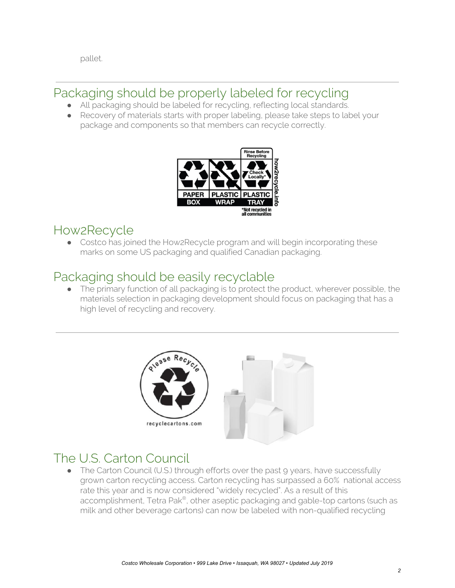pallet.

#### Packaging should be properly labeled for recycling

- All packaging should be labeled for recycling, reflecting local standards.
- Recovery of materials starts with proper labeling, please take steps to label your package and components so that members can recycle correctly.



## How2Recycle

• Costco has joined the How2Recycle program and will begin incorporating these marks on some US packaging and qualified Canadian packaging.

## Packaging should be easily recyclable

The primary function of all packaging is to protect the product, wherever possible, the materials selection in packaging development should focus on packaging that has a high level of recycling and recovery.



# The U.S. Carton Council

• The Carton Council (U.S.) through efforts over the past 9 years, have successfully grown carton recycling access. Carton recycling has surpassed a 60% national access rate this year and is now considered "widely recycled". As a result of this accomplishment, Tetra Pak®, other aseptic packaging and gable-top cartons (such as milk and other beverage cartons) can now be labeled with non-qualified recycling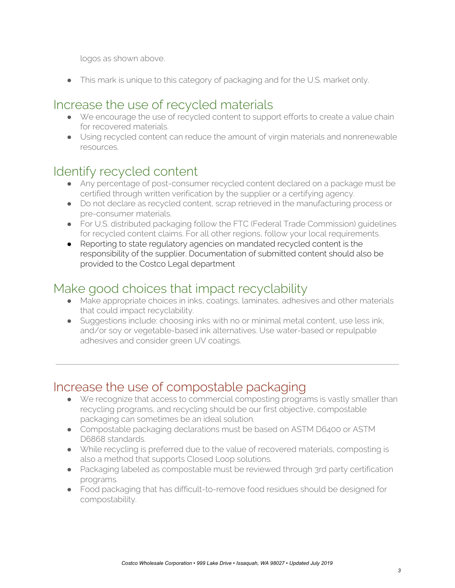logos as shown above.

This mark is unique to this category of packaging and for the U.S. market only.

## Increase the use of recycled materials

- We encourage the use of recycled content to support efforts to create a value chain for recovered materials.
- Using recycled content can reduce the amount of virgin materials and nonrenewable resources.

# Identify recycled content

- Any percentage of post-consumer recycled content declared on a package must be certified through written verification by the supplier or a certifying agency.
- Do not declare as recycled content, scrap retrieved in the manufacturing process or pre-consumer materials.
- For U.S. distributed packaging follow the FTC (Federal Trade Commission) guidelines for recycled content claims. For all other regions, follow your local requirements.
- Reporting to state regulatory agencies on mandated recycled content is the responsibility of the supplier. Documentation of submitted content should also be provided to the Costco Legal department

# Make good choices that impact recyclability

- Make appropriate choices in inks, coatings, laminates, adhesives and other materials that could impact recyclability.
- Suggestions include: choosing inks with no or minimal metal content, use less ink, and/or soy or vegetable-based ink alternatives. Use water-based or repulpable adhesives and consider green UV coatings.

#### Increase the use of compostable packaging

- We recognize that access to commercial composting programs is vastly smaller than recycling programs, and recycling should be our first objective, compostable packaging can sometimes be an ideal solution.
- Compostable packaging declarations must be based on ASTM D6400 or ASTM D6868 standards.
- While recycling is preferred due to the value of recovered materials, composting is also a method that supports Closed Loop solutions.
- Packaging labeled as compostable must be reviewed through 3rd party certification programs.
- Food packaging that has difficult-to-remove food residues should be designed for compostability.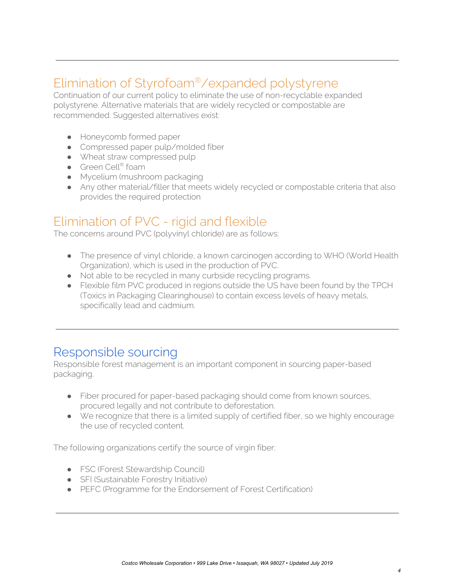# Elimination of Styrofoam®/expanded polystyrene

Continuation of our current policy to eliminate the use of non-recyclable expanded polystyrene. Alternative materials that are widely recycled or compostable are recommended. Suggested alternatives exist:

- Honeycomb formed paper
- Compressed paper pulp/molded fiber
- Wheat straw compressed pulp
- Green Cell<sup>®</sup> foam
- Mycelium (mushroom packaging
- Any other material/filler that meets widely recycled or compostable criteria that also provides the required protection

#### Elimination of PVC - rigid and flexible

The concerns around PVC (polyvinyl chloride) are as follows:

- The presence of vinyl chloride, a known carcinogen according to WHO (World Health) Organization), which is used in the production of PVC.
- Not able to be recycled in many curbside recycling programs.
- Flexible film PVC produced in regions outside the US have been found by the TPCH (Toxics in Packaging Clearinghouse) to contain excess levels of heavy metals, specifically lead and cadmium.

#### Responsible sourcing

Responsible forest management is an important component in sourcing paper-based packaging.

- Fiber procured for paper-based packaging should come from known sources, procured legally and not contribute to deforestation.
- We recognize that there is a limited supply of certified fiber, so we highly encourage the use of recycled content.

The following organizations certify the source of virgin fiber:

- **•** FSC (Forest Stewardship Council)
- SFI (Sustainable Forestry Initiative)
- PEFC (Programme for the Endorsement of Forest Certification)